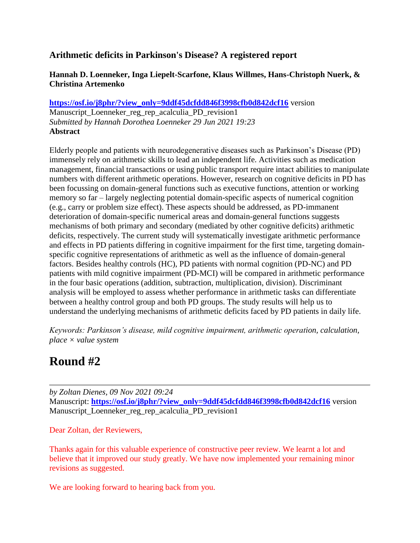# **Arithmetic deficits in Parkinson's Disease? A registered report**

## **Hannah D. Loenneker, Inga Liepelt-Scarfone, Klaus Willmes, Hans-Christoph Nuerk, & Christina Artemenko**

**[https://osf.io/j8phr/?view\\_only=9ddf45dcfdd846f3998cfb0d842dcf16](https://osf.io/j8phr/?view_only=9ddf45dcfdd846f3998cfb0d842dcf16)** version Manuscript\_Loenneker\_reg\_rep\_acalculia\_PD\_revision1 *Submitted by Hannah Dorothea Loenneker 29 Jun 2021 19:23* **Abstract**

Elderly people and patients with neurodegenerative diseases such as Parkinson's Disease (PD) immensely rely on arithmetic skills to lead an independent life. Activities such as medication management, financial transactions or using public transport require intact abilities to manipulate numbers with different arithmetic operations. However, research on cognitive deficits in PD has been focussing on domain-general functions such as executive functions, attention or working memory so far – largely neglecting potential domain-specific aspects of numerical cognition (e.g., carry or problem size effect). These aspects should be addressed, as PD-immanent deterioration of domain-specific numerical areas and domain-general functions suggests mechanisms of both primary and secondary (mediated by other cognitive deficits) arithmetic deficits, respectively. The current study will systematically investigate arithmetic performance and effects in PD patients differing in cognitive impairment for the first time, targeting domainspecific cognitive representations of arithmetic as well as the influence of domain-general factors. Besides healthy controls (HC), PD patients with normal cognition (PD-NC) and PD patients with mild cognitive impairment (PD-MCI) will be compared in arithmetic performance in the four basic operations (addition, subtraction, multiplication, division). Discriminant analysis will be employed to assess whether performance in arithmetic tasks can differentiate between a healthy control group and both PD groups. The study results will help us to understand the underlying mechanisms of arithmetic deficits faced by PD patients in daily life.

*Keywords: Parkinson's disease, mild cognitive impairment, arithmetic operation, calculation, place × value system*

# **Round #2**

*by Zoltan Dienes, 09 Nov 2021 09:24* Manuscript: **[https://osf.io/j8phr/?view\\_only=9ddf45dcfdd846f3998cfb0d842dcf16](https://osf.io/j8phr/?view_only=9ddf45dcfdd846f3998cfb0d842dcf16)** version Manuscript\_Loenneker\_reg\_rep\_acalculia\_PD\_revision1

Dear Zoltan, der Reviewers,

Thanks again for this valuable experience of constructive peer review. We learnt a lot and believe that it improved our study greatly. We have now implemented your remaining minor revisions as suggested.

We are looking forward to hearing back from you.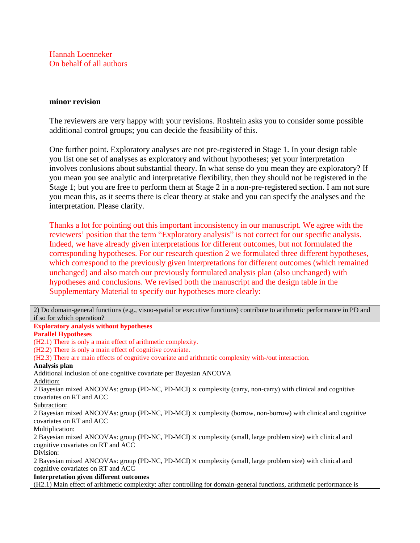Hannah Loenneker On behalf of all authors

#### **minor revision**

The reviewers are very happy with your revisions. Roshtein asks you to consider some possible additional control groups; you can decide the feasibility of this.

One further point. Exploratory analyses are not pre-registered in Stage 1. In your design table you list one set of analyses as exploratory and without hypotheses; yet your interpretation involves conlusions about substantial theory. In what sense do you mean they are exploratory? If you mean you see analytic and interpretative flexibility, then they should not be registered in the Stage 1; but you are free to perform them at Stage 2 in a non-pre-registered section. I am not sure you mean this, as it seems there is clear theory at stake and you can specify the analyses and the interpretation. Please clarify.

Thanks a lot for pointing out this important inconsistency in our manuscript. We agree with the reviewers' position that the term "Exploratory analysis" is not correct for our specific analysis. Indeed, we have already given interpretations for different outcomes, but not formulated the corresponding hypotheses. For our research question 2 we formulated three different hypotheses, which correspond to the previously given interpretations for different outcomes (which remained unchanged) and also match our previously formulated analysis plan (also unchanged) with hypotheses and conclusions. We revised both the manuscript and the design table in the Supplementary Material to specify our hypotheses more clearly:

2) Do domain-general functions (e.g., visuo-spatial or executive functions) contribute to arithmetic performance in PD and if so for which operation? **Exploratory analysis without hypotheses Parallel Hypotheses** (H2.1) There is only a main effect of arithmetic complexity. (H2.2) There is only a main effect of cognitive covariate. (H2.3) There are main effects of cognitive covariate and arithmetic complexity with-/out interaction. **Analysis plan** Additional inclusion of one cognitive covariate per Bayesian ANCOVA Addition: 2 Bayesian mixed ANCOVAs: group (PD-NC, PD-MCI) × complexity (carry, non-carry) with clinical and cognitive covariates on RT and ACC Subtraction: 2 Bayesian mixed ANCOVAs: group (PD-NC, PD-MCI) × complexity (borrow, non-borrow) with clinical and cognitive covariates on RT and ACC Multiplication: 2 Bayesian mixed ANCOVAs: group (PD-NC, PD-MCI) × complexity (small, large problem size) with clinical and cognitive covariates on RT and ACC Division: 2 Bayesian mixed ANCOVAs: group (PD-NC, PD-MCI) × complexity (small, large problem size) with clinical and cognitive covariates on RT and ACC **Interpretation given different outcomes** (H2.1) Main effect of arithmetic complexity: after controlling for domain-general functions, arithmetic performance is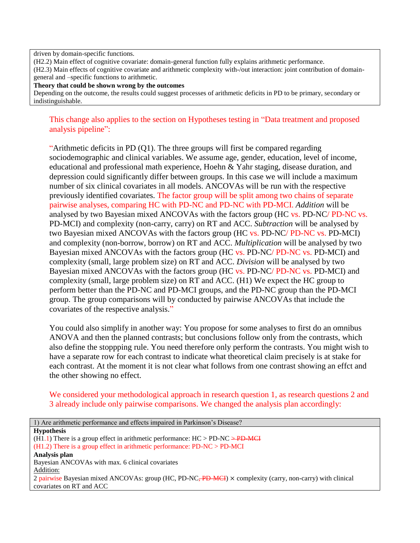#### driven by domain-specific functions.

(H2.2) Main effect of cognitive covariate: domain-general function fully explains arithmetic performance.

(H2.3) Main effects of cognitive covariate and arithmetic complexity with-/out interaction: joint contribution of domaingeneral and –specific functions to arithmetic.

#### **Theory that could be shown wrong by the outcomes**

Depending on the outcome, the results could suggest processes of arithmetic deficits in PD to be primary, secondary or indistinguishable.

### This change also applies to the section on Hypotheses testing in "Data treatment and proposed analysis pipeline":

"Arithmetic deficits in PD (Q1). The three groups will first be compared regarding sociodemographic and clinical variables. We assume age, gender, education, level of income, educational and professional math experience, Hoehn & Yahr staging, disease duration, and depression could significantly differ between groups. In this case we will include a maximum number of six clinical covariates in all models. ANCOVAs will be run with the respective previously identified covariates. The factor group will be split among two chains of separate pairwise analyses, comparing HC with PD-NC and PD-NC with PD-MCI. *Addition* will be analysed by two Bayesian mixed ANCOVAs with the factors group (HC vs. PD-NC/ PD-NC vs. PD-MCI) and complexity (non-carry, carry) on RT and ACC. *Subtraction* will be analysed by two Bayesian mixed ANCOVAs with the factors group (HC vs. PD-NC/ PD-NC vs. PD-MCI) and complexity (non-borrow, borrow) on RT and ACC. *Multiplication* will be analysed by two Bayesian mixed ANCOVAs with the factors group (HC vs. PD-NC/ PD-NC vs. PD-MCI) and complexity (small, large problem size) on RT and ACC. *Division* will be analysed by two Bayesian mixed ANCOVAs with the factors group (HC vs. PD-NC/ PD-NC vs. PD-MCI) and complexity (small, large problem size) on RT and ACC. (H1) We expect the HC group to perform better than the PD-NC and PD-MCI groups, and the PD-NC group than the PD-MCI group. The group comparisons will by conducted by pairwise ANCOVAs that include the covariates of the respective analysis."

You could also simplify in another way: You propose for some analyses to first do an omnibus ANOVA and then the planned contrasts; but conclusions follow only from the contrasts, which also define the stoppping rule. You need therefore only perform the contrasts. You might wish to have a separate row for each contrast to indicate what theoretical claim precisely is at stake for each contrast. At the moment it is not clear what follows from one contrast showing an effct and the other showing no effect.

We considered your methodological approach in research question 1, as research questions 2 and 3 already include only pairwise comparisons. We changed the analysis plan accordingly:

| 1) Are arithmetic performance and effects impaired in Parkinson's Disease?                                              |
|-------------------------------------------------------------------------------------------------------------------------|
| <b>Hypothesis</b>                                                                                                       |
| $(H1.1)$ There is a group effect in arithmetic performance: $HC > PD$ -NC $\rightarrow$ -PD-MC                          |
| $(H1.2)$ There is a group effect in arithmetic performance: PD-NC > PD-MCI                                              |
| Analysis plan                                                                                                           |
| Bayesian ANCOVAs with max. 6 clinical covariates                                                                        |
| Addition:                                                                                                               |
| 2 pairwise Bayesian mixed ANCOVAs: group (HC, PD-NC <del>, PD-MCI</del> ) × complexity (carry, non-carry) with clinical |
| covariates on RT and ACC                                                                                                |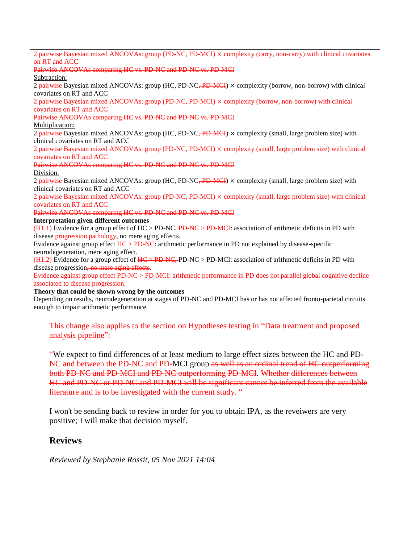| 2 pairwise Bayesian mixed ANCOVAs: group (PD-NC, PD-MCI) × complexity (carry, non-carry) with clinical covariates                 |
|-----------------------------------------------------------------------------------------------------------------------------------|
| on RT and ACC                                                                                                                     |
| Pairwise ANCOVAs comparing HC vs. PD NC and PD NC vs. PD MCI                                                                      |
| Subtraction:                                                                                                                      |
| 2 pairwise Bayesian mixed ANCOVAs: group (HC, PD-NC <del>, PD-MCI</del> ) × complexity (borrow, non-borrow) with clinical         |
| covariates on RT and ACC                                                                                                          |
| 2 pairwise Bayesian mixed ANCOVAs: group (PD-NC, PD-MCI) $\times$ complexity (borrow, non-borrow) with clinical                   |
| covariates on RT and ACC                                                                                                          |
| Pairwise ANCOVAs comparing HC vs. PD NC and PD NC vs. PD MCI                                                                      |
| Multiplication:                                                                                                                   |
| 2 pairwise Bayesian mixed ANCOVAs: group (HC, PD-NC <del>, PD-MCI</del> ) $\times$ complexity (small, large problem size) with    |
| clinical covariates on RT and ACC                                                                                                 |
| 2 pairwise Bayesian mixed ANCOVAs: group (PD-NC, PD-MCI) × complexity (small, large problem size) with clinical                   |
| covariates on RT and ACC                                                                                                          |
| Pairwise ANCOVAs comparing HC vs. PD NC and PD NC vs. PD MCI                                                                      |
| Division:                                                                                                                         |
| 2 pairwise Bayesian mixed ANCOVAs: group (HC, PD-NC <del>, PD-MCI</del> ) $\times$ complexity (small, large problem size) with    |
| clinical covariates on RT and ACC                                                                                                 |
| 2 pairwise Bayesian mixed ANCOVAs: group (PD-NC, PD-MCI) × complexity (small, large problem size) with clinical                   |
| covariates on RT and ACC                                                                                                          |
| Pairwise ANCOVAs comparing HC vs. PD NC and PD NC vs. PD MCI                                                                      |
| <b>Interpretation given different outcomes</b>                                                                                    |
| $(H1.1)$ Evidence for a group effect of HC > PD-NC <del>, PD-NC &gt; PD-MCI</del> : association of arithmetic deficits in PD with |
| disease <b>progression</b> pathology, no mere aging effects.                                                                      |
| Evidence against group effect $HC > PD-NC$ : arithmetic performance in PD not explained by disease-specific                       |
| neurodegeneration, mere aging effect.                                                                                             |
| $(H1.2)$ Evidence for a group effect of $H \to PD$ NC, PD-NC > PD-MCI: association of arithmetic deficits in PD with              |
| disease progression, no mere aging effects.                                                                                       |
| Evidence against group effect PD-NC > PD-MCI: arithmetic performance in PD does not parallel global cognitive decline             |
| associated to disease progression.                                                                                                |
| Theory that could be shown wrong by the outcomes                                                                                  |
| Depending on results, neurodegeneration at stages of PD-NC and PD-MCI has or has not affected fronto-parietal circuits            |
| enough to impair arithmetic performance.                                                                                          |

This change also applies to the section on Hypotheses testing in "Data treatment and proposed analysis pipeline":

"We expect to find differences of at least medium to large effect sizes between the HC and PD-NC and between the PD-NC and PD-MCI group as well as an ordinal trend of HC outperforming both PD-NC and PD-MCI and PD-NC outperforming PD-MCI. Whether differences between HC and PD-NC or PD-NC and PD-MCI will be significant cannot be inferred from the available literature and is to be investigated with the current study. "

I won't be sending back to review in order for you to obtain IPA, as the reveiwers are very positive; I will make that decision myself.

# **Reviews**

*Reviewed by Stephanie Rossit, 05 Nov 2021 14:04*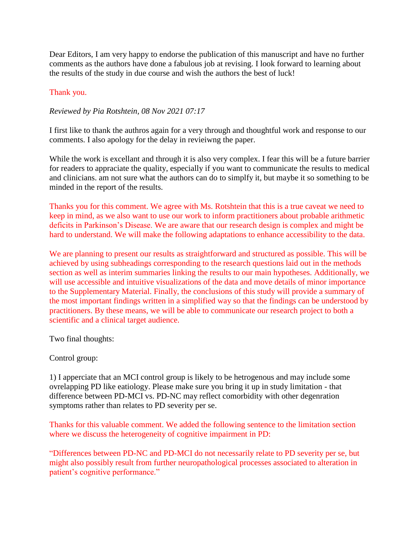Dear Editors, I am very happy to endorse the publication of this manuscript and have no further comments as the authors have done a fabulous job at revising. I look forward to learning about the results of the study in due course and wish the authors the best of luck!

## Thank you.

### *Reviewed by Pia Rotshtein, 08 Nov 2021 07:17*

I first like to thank the authros again for a very through and thoughtful work and response to our comments. I also apology for the delay in revieiwng the paper.

While the work is excellant and through it is also very complex. I fear this will be a future barrier for readers to appraciate the quality, especially if you want to communicate the results to medical and clinicians. am not sure what the authors can do to simplfy it, but maybe it so something to be minded in the report of the results.

Thanks you for this comment. We agree with Ms. Rotshtein that this is a true caveat we need to keep in mind, as we also want to use our work to inform practitioners about probable arithmetic deficits in Parkinson's Disease. We are aware that our research design is complex and might be hard to understand. We will make the following adaptations to enhance accessibility to the data.

We are planning to present our results as straightforward and structured as possible. This will be achieved by using subheadings corresponding to the research questions laid out in the methods section as well as interim summaries linking the results to our main hypotheses. Additionally, we will use accessible and intuitive visualizations of the data and move details of minor importance to the Supplementary Material. Finally, the conclusions of this study will provide a summary of the most important findings written in a simplified way so that the findings can be understood by practitioners. By these means, we will be able to communicate our research project to both a scientific and a clinical target audience.

Two final thoughts:

#### Control group:

1) I apperciate that an MCI control group is likely to be hetrogenous and may include some ovrelapping PD like eatiology. Please make sure you bring it up in study limitation - that difference between PD-MCI vs. PD-NC may reflect comorbidity with other degenration symptoms rather than relates to PD severity per se.

Thanks for this valuable comment. We added the following sentence to the limitation section where we discuss the heterogeneity of cognitive impairment in PD:

"Differences between PD-NC and PD-MCI do not necessarily relate to PD severity per se, but might also possibly result from further neuropathological processes associated to alteration in patient's cognitive performance."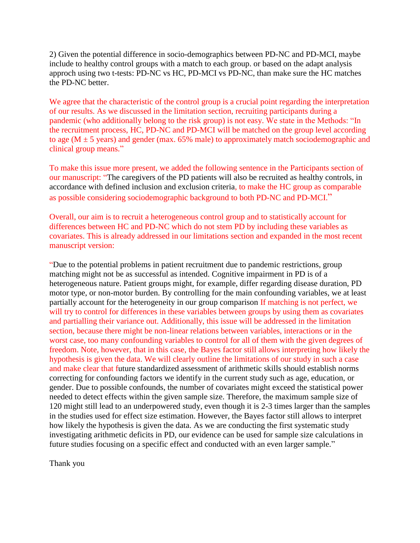2) Given the potential difference in socio-demographics between PD-NC and PD-MCI, maybe include to healthy control groups with a match to each group. or based on the adapt analysis approch using two t-tests: PD-NC vs HC, PD-MCI vs PD-NC, than make sure the HC matches the PD-NC better.

We agree that the characteristic of the control group is a crucial point regarding the interpretation of our results. As we discussed in the limitation section, recruiting participants during a pandemic (who additionally belong to the risk group) is not easy. We state in the Methods: "In the recruitment process, HC, PD-NC and PD-MCI will be matched on the group level according to age ( $M \pm 5$  years) and gender (max. 65% male) to approximately match sociodemographic and clinical group means."

To make this issue more present, we added the following sentence in the Participants section of our manuscript: "The caregivers of the PD patients will also be recruited as healthy controls, in accordance with defined inclusion and exclusion criteria, to make the HC group as comparable as possible considering sociodemographic background to both PD-NC and PD-MCI."

Overall, our aim is to recruit a heterogeneous control group and to statistically account for differences between HC and PD-NC which do not stem PD by including these variables as covariates. This is already addressed in our limitations section and expanded in the most recent manuscript version:

"Due to the potential problems in patient recruitment due to pandemic restrictions, group matching might not be as successful as intended. Cognitive impairment in PD is of a heterogeneous nature. Patient groups might, for example, differ regarding disease duration, PD motor type, or non-motor burden. By controlling for the main confounding variables, we at least partially account for the heterogeneity in our group comparison If matching is not perfect, we will try to control for differences in these variables between groups by using them as covariates and partialling their variance out. Additionally, this issue will be addressed in the limitation section, because there might be non-linear relations between variables, interactions or in the worst case, too many confounding variables to control for all of them with the given degrees of freedom. Note, however, that in this case, the Bayes factor still allows interpreting how likely the hypothesis is given the data. We will clearly outline the limitations of our study in such a case and make clear that future standardized assessment of arithmetic skills should establish norms correcting for confounding factors we identify in the current study such as age, education, or gender. Due to possible confounds, the number of covariates might exceed the statistical power needed to detect effects within the given sample size. Therefore, the maximum sample size of 120 might still lead to an underpowered study, even though it is 2-3 times larger than the samples in the studies used for effect size estimation. However, the Bayes factor still allows to interpret how likely the hypothesis is given the data. As we are conducting the first systematic study investigating arithmetic deficits in PD, our evidence can be used for sample size calculations in future studies focusing on a specific effect and conducted with an even larger sample."

Thank you